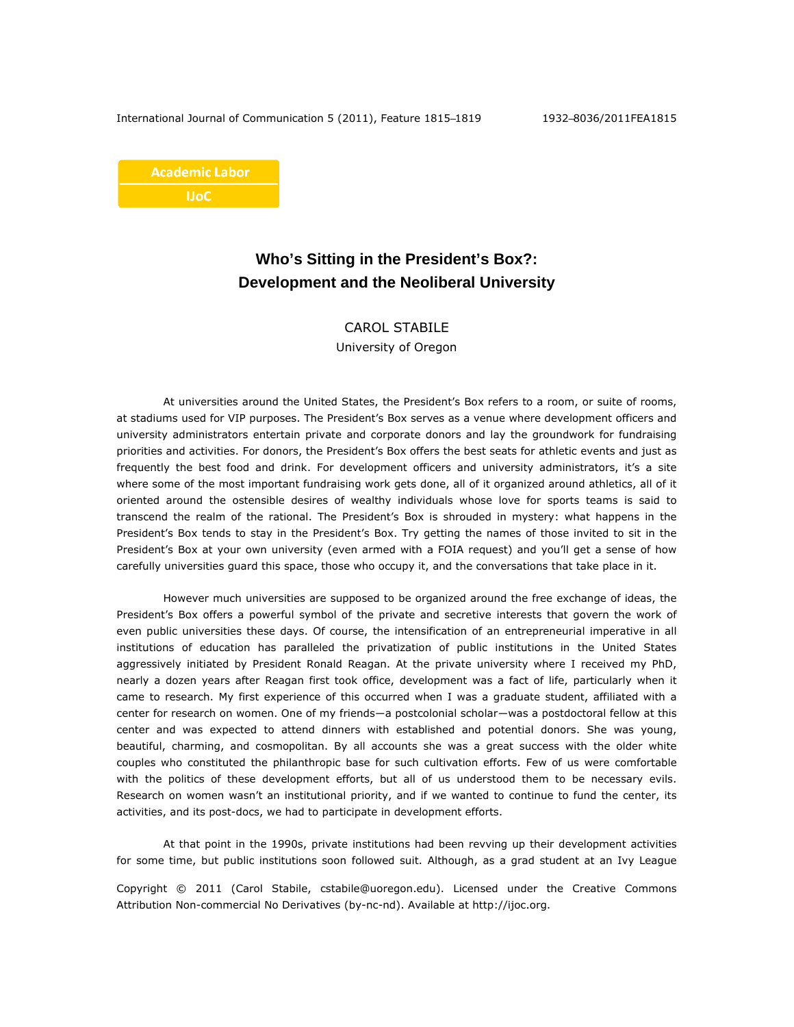**Academic Labor IJoC** 

## **Who's Sitting in the President's Box?: Development and the Neoliberal University**

## CAROL STABILE

University of Oregon

At universities around the United States, the President's Box refers to a room, or suite of rooms, at stadiums used for VIP purposes. The President's Box serves as a venue where development officers and university administrators entertain private and corporate donors and lay the groundwork for fundraising priorities and activities. For donors, the President's Box offers the best seats for athletic events and just as frequently the best food and drink. For development officers and university administrators, it's a site where some of the most important fundraising work gets done, all of it organized around athletics, all of it oriented around the ostensible desires of wealthy individuals whose love for sports teams is said to transcend the realm of the rational. The President's Box is shrouded in mystery: what happens in the President's Box tends to stay in the President's Box. Try getting the names of those invited to sit in the President's Box at your own university (even armed with a FOIA request) and you'll get a sense of how carefully universities guard this space, those who occupy it, and the conversations that take place in it.

However much universities are supposed to be organized around the free exchange of ideas, the President's Box offers a powerful symbol of the private and secretive interests that govern the work of even public universities these days. Of course, the intensification of an entrepreneurial imperative in all institutions of education has paralleled the privatization of public institutions in the United States aggressively initiated by President Ronald Reagan. At the private university where I received my PhD, nearly a dozen years after Reagan first took office, development was a fact of life, particularly when it came to research. My first experience of this occurred when I was a graduate student, affiliated with a center for research on women. One of my friends―a postcolonial scholar―was a postdoctoral fellow at this center and was expected to attend dinners with established and potential donors. She was young, beautiful, charming, and cosmopolitan. By all accounts she was a great success with the older white couples who constituted the philanthropic base for such cultivation efforts. Few of us were comfortable with the politics of these development efforts, but all of us understood them to be necessary evils. Research on women wasn't an institutional priority, and if we wanted to continue to fund the center, its activities, and its post-docs, we had to participate in development efforts.

At that point in the 1990s, private institutions had been revving up their development activities for some time, but public institutions soon followed suit. Although, as a grad student at an Ivy League

Copyright © 2011 (Carol Stabile, cstabile@uoregon.edu). Licensed under the Creative Commons Attribution Non-commercial No Derivatives (by-nc-nd). Available at http://ijoc.org.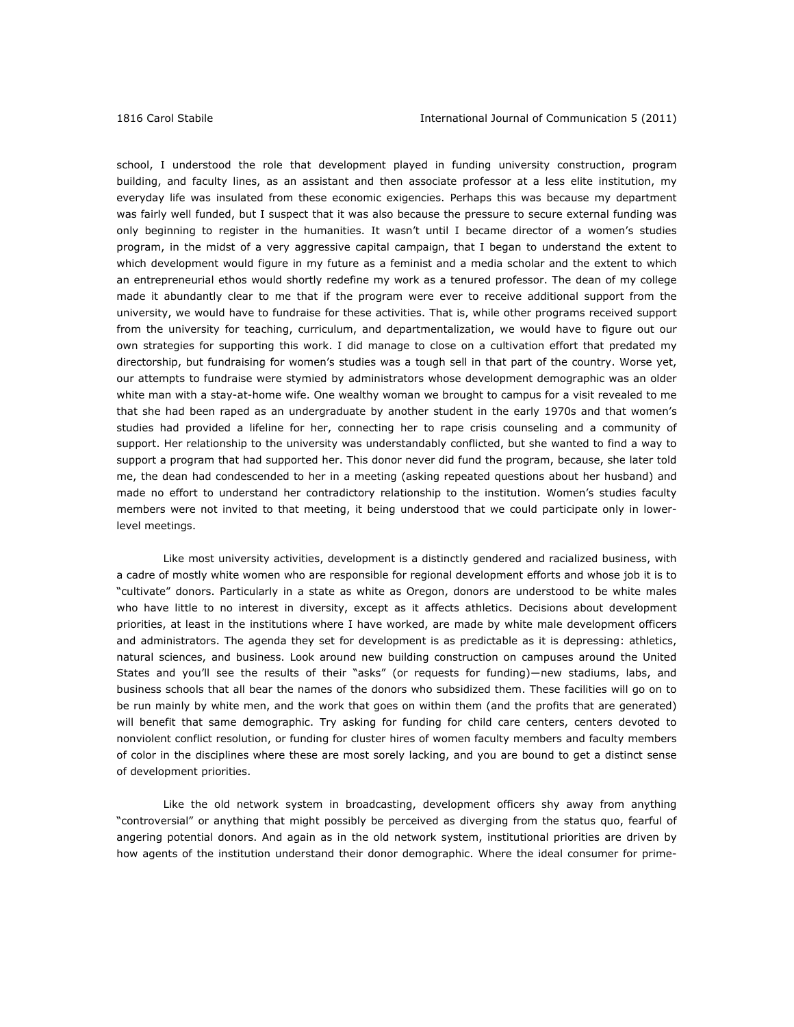school, I understood the role that development played in funding university construction, program building, and faculty lines, as an assistant and then associate professor at a less elite institution, my everyday life was insulated from these economic exigencies. Perhaps this was because my department was fairly well funded, but I suspect that it was also because the pressure to secure external funding was only beginning to register in the humanities. It wasn't until I became director of a women's studies program, in the midst of a very aggressive capital campaign, that I began to understand the extent to which development would figure in my future as a feminist and a media scholar and the extent to which an entrepreneurial ethos would shortly redefine my work as a tenured professor. The dean of my college made it abundantly clear to me that if the program were ever to receive additional support from the university, we would have to fundraise for these activities. That is, while other programs received support from the university for teaching, curriculum, and departmentalization, we would have to figure out our own strategies for supporting this work. I did manage to close on a cultivation effort that predated my directorship, but fundraising for women's studies was a tough sell in that part of the country. Worse yet, our attempts to fundraise were stymied by administrators whose development demographic was an older white man with a stay-at-home wife. One wealthy woman we brought to campus for a visit revealed to me that she had been raped as an undergraduate by another student in the early 1970s and that women's studies had provided a lifeline for her, connecting her to rape crisis counseling and a community of support. Her relationship to the university was understandably conflicted, but she wanted to find a way to support a program that had supported her. This donor never did fund the program, because, she later told me, the dean had condescended to her in a meeting (asking repeated questions about her husband) and made no effort to understand her contradictory relationship to the institution. Women's studies faculty members were not invited to that meeting, it being understood that we could participate only in lowerlevel meetings.

Like most university activities, development is a distinctly gendered and racialized business, with a cadre of mostly white women who are responsible for regional development efforts and whose job it is to "cultivate" donors. Particularly in a state as white as Oregon, donors are understood to be white males who have little to no interest in diversity, except as it affects athletics. Decisions about development priorities, at least in the institutions where I have worked, are made by white male development officers and administrators. The agenda they set for development is as predictable as it is depressing: athletics, natural sciences, and business. Look around new building construction on campuses around the United States and you'll see the results of their "asks" (or requests for funding)―new stadiums, labs, and business schools that all bear the names of the donors who subsidized them. These facilities will go on to be run mainly by white men, and the work that goes on within them (and the profits that are generated) will benefit that same demographic. Try asking for funding for child care centers, centers devoted to nonviolent conflict resolution, or funding for cluster hires of women faculty members and faculty members of color in the disciplines where these are most sorely lacking, and you are bound to get a distinct sense of development priorities.

Like the old network system in broadcasting, development officers shy away from anything "controversial" or anything that might possibly be perceived as diverging from the status quo, fearful of angering potential donors. And again as in the old network system, institutional priorities are driven by how agents of the institution understand their donor demographic. Where the ideal consumer for prime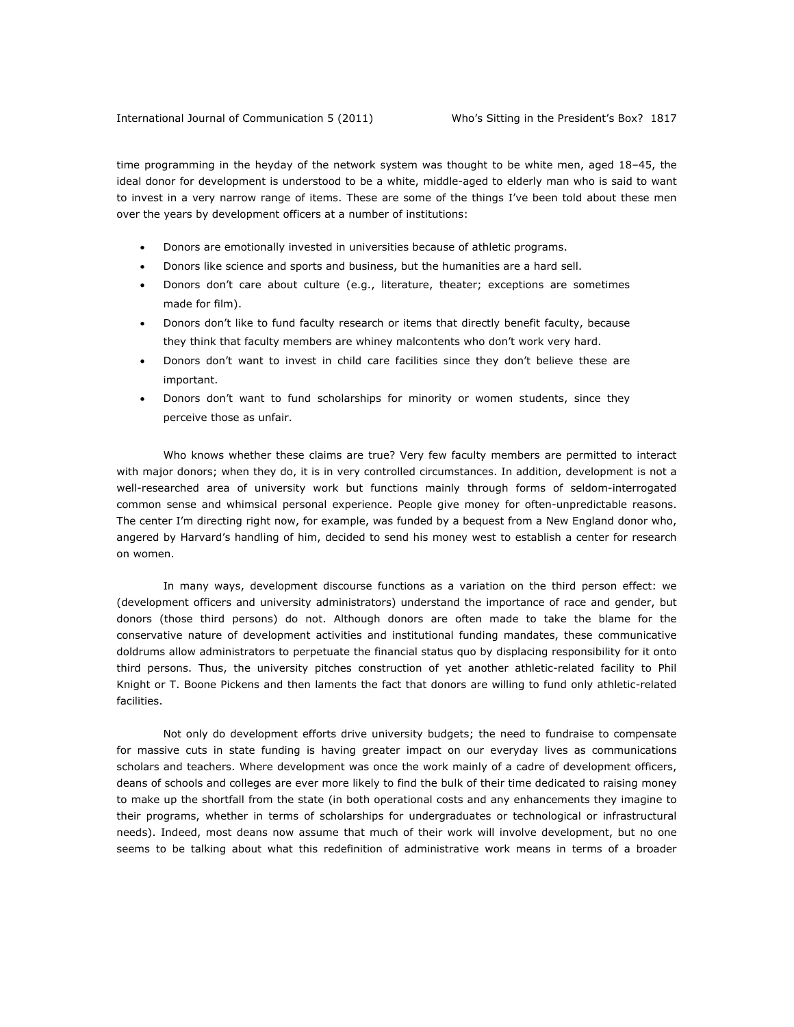time programming in the heyday of the network system was thought to be white men, aged 18–45, the ideal donor for development is understood to be a white, middle-aged to elderly man who is said to want to invest in a very narrow range of items. These are some of the things I've been told about these men over the years by development officers at a number of institutions:

- Donors are emotionally invested in universities because of athletic programs.
- Donors like science and sports and business, but the humanities are a hard sell.
- Donors don't care about culture (e.g., literature, theater; exceptions are sometimes made for film).
- Donors don't like to fund faculty research or items that directly benefit faculty, because they think that faculty members are whiney malcontents who don't work very hard.
- Donors don't want to invest in child care facilities since they don't believe these are important.
- Donors don't want to fund scholarships for minority or women students, since they perceive those as unfair.

Who knows whether these claims are true? Very few faculty members are permitted to interact with major donors; when they do, it is in very controlled circumstances. In addition, development is not a well-researched area of university work but functions mainly through forms of seldom-interrogated common sense and whimsical personal experience. People give money for often-unpredictable reasons. The center I'm directing right now, for example, was funded by a bequest from a New England donor who, angered by Harvard's handling of him, decided to send his money west to establish a center for research on women.

In many ways, development discourse functions as a variation on the third person effect: we (development officers and university administrators) understand the importance of race and gender, but donors (those third persons) do not. Although donors are often made to take the blame for the conservative nature of development activities and institutional funding mandates, these communicative doldrums allow administrators to perpetuate the financial status quo by displacing responsibility for it onto third persons. Thus, the university pitches construction of yet another athletic-related facility to Phil Knight or T. Boone Pickens and then laments the fact that donors are willing to fund only athletic-related facilities.

Not only do development efforts drive university budgets; the need to fundraise to compensate for massive cuts in state funding is having greater impact on our everyday lives as communications scholars and teachers. Where development was once the work mainly of a cadre of development officers, deans of schools and colleges are ever more likely to find the bulk of their time dedicated to raising money to make up the shortfall from the state (in both operational costs and any enhancements they imagine to their programs, whether in terms of scholarships for undergraduates or technological or infrastructural needs). Indeed, most deans now assume that much of their work will involve development, but no one seems to be talking about what this redefinition of administrative work means in terms of a broader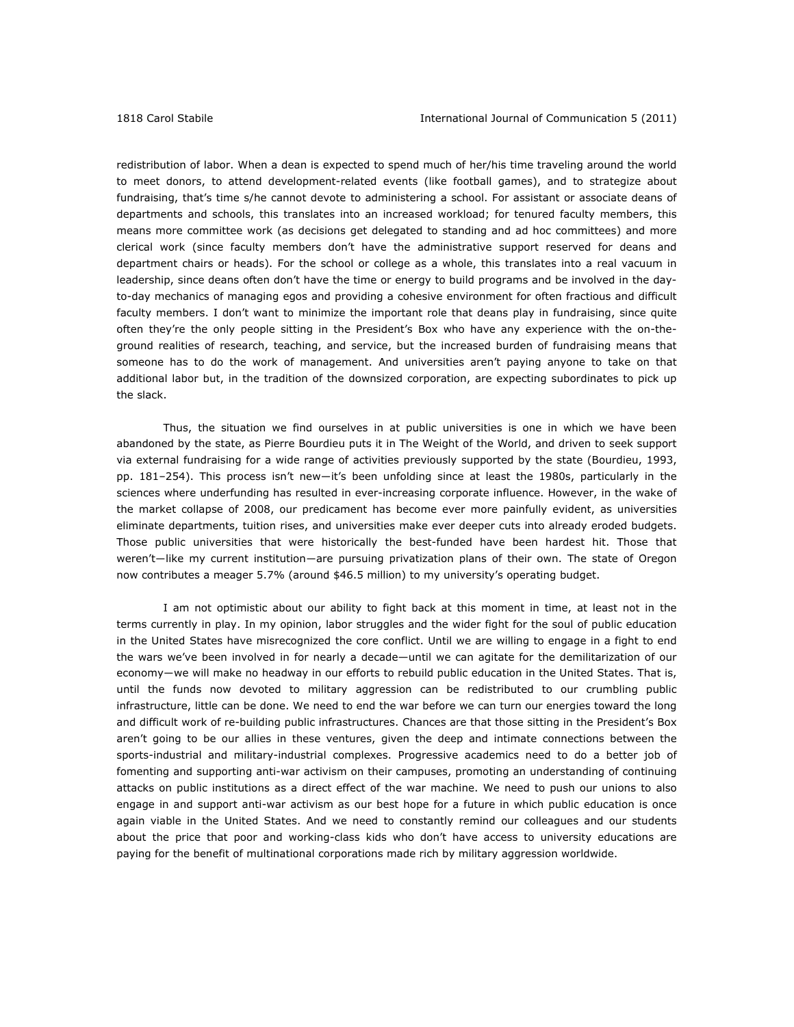redistribution of labor. When a dean is expected to spend much of her/his time traveling around the world to meet donors, to attend development-related events (like football games), and to strategize about fundraising, that's time s/he cannot devote to administering a school. For assistant or associate deans of departments and schools, this translates into an increased workload; for tenured faculty members, this means more committee work (as decisions get delegated to standing and ad hoc committees) and more clerical work (since faculty members don't have the administrative support reserved for deans and department chairs or heads). For the school or college as a whole, this translates into a real vacuum in leadership, since deans often don't have the time or energy to build programs and be involved in the dayto-day mechanics of managing egos and providing a cohesive environment for often fractious and difficult faculty members. I don't want to minimize the important role that deans play in fundraising, since quite often they're the only people sitting in the President's Box who have any experience with the on-theground realities of research, teaching, and service, but the increased burden of fundraising means that someone has to do the work of management. And universities aren't paying anyone to take on that additional labor but, in the tradition of the downsized corporation, are expecting subordinates to pick up the slack.

Thus, the situation we find ourselves in at public universities is one in which we have been abandoned by the state, as Pierre Bourdieu puts it in *The Weight of the World*, and driven to seek support via external fundraising for a wide range of activities previously supported by the state (Bourdieu, 1993, pp. 181–254). This process isn't new―it's been unfolding since at least the 1980s, particularly in the sciences where underfunding has resulted in ever-increasing corporate influence. However, in the wake of the market collapse of 2008, our predicament has become ever more painfully evident, as universities eliminate departments, tuition rises, and universities make ever deeper cuts into already eroded budgets. Those public universities that were historically the best-funded have been hardest hit. Those that weren't―like my current institution―are pursuing privatization plans of their own. The state of Oregon now contributes a meager 5.7% (around \$46.5 million) to my university's operating budget.

I am not optimistic about our ability to fight back at this moment in time, at least not in the terms currently in play. In my opinion, labor struggles and the wider fight for the soul of public education in the United States have misrecognized the core conflict. Until we are willing to engage in a fight to end the wars we've been involved in for nearly a decade—until we can agitate for the demilitarization of our economy―we will make no headway in our efforts to rebuild public education in the United States. That is, until the funds now devoted to military aggression can be redistributed to our crumbling public infrastructure, little can be done. We need to end the war before we can turn our energies toward the long and difficult work of re-building public infrastructures. Chances are that those sitting in the President's Box aren't going to be our allies in these ventures, given the deep and intimate connections between the sports-industrial and military-industrial complexes. Progressive academics need to do a better job of fomenting and supporting anti-war activism on their campuses, promoting an understanding of continuing attacks on public institutions as a direct effect of the war machine. We need to push our unions to also engage in and support anti-war activism as our best hope for a future in which public education is once again viable in the United States. And we need to constantly remind our colleagues and our students about the price that poor and working-class kids who don't have access to university educations are paying for the benefit of multinational corporations made rich by military aggression worldwide.